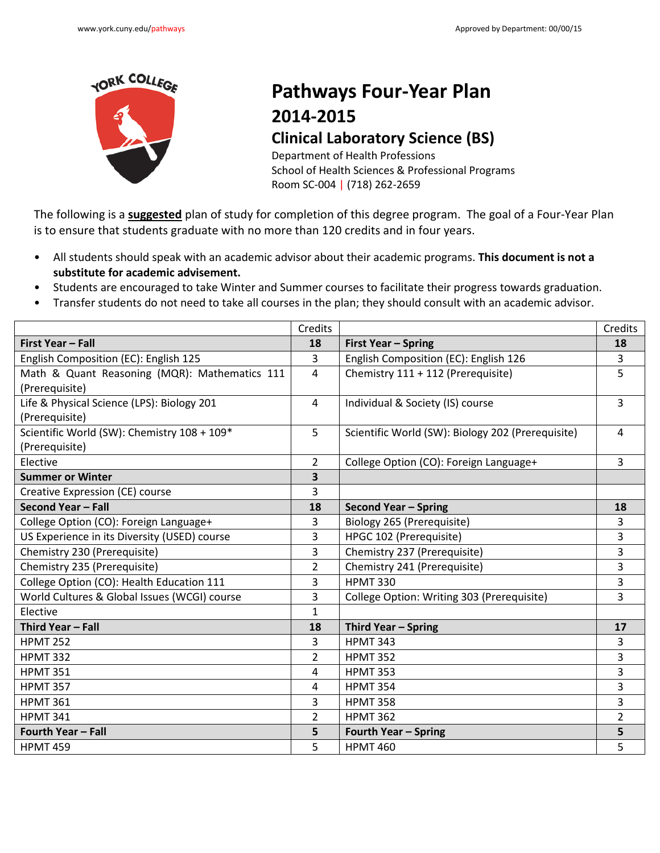

## **Pathways Four-Year Plan 2014-2015 Clinical Laboratory Science (BS)**

Department of Health Professions School of Health Sciences & Professional Programs Room SC-004 | (718) 262-2659

The following is a **suggested** plan of study for completion of this degree program. The goal of a Four-Year Plan is to ensure that students graduate with no more than 120 credits and in four years.

- All students should speak with an academic advisor about their academic programs. **This document is not a substitute for academic advisement.**
- Students are encouraged to take Winter and Summer courses to facilitate their progress towards graduation.
- Transfer students do not need to take all courses in the plan; they should consult with an academic advisor.

|                                               | Credits        |                                                   | Credits        |
|-----------------------------------------------|----------------|---------------------------------------------------|----------------|
| First Year - Fall                             | 18             | <b>First Year - Spring</b>                        | 18             |
| English Composition (EC): English 125         | 3              | English Composition (EC): English 126             | 3              |
| Math & Quant Reasoning (MQR): Mathematics 111 | $\overline{4}$ | Chemistry 111 + 112 (Prerequisite)                | 5              |
| (Prerequisite)                                |                |                                                   |                |
| Life & Physical Science (LPS): Biology 201    | $\overline{4}$ | Individual & Society (IS) course                  | 3              |
| (Prerequisite)                                |                |                                                   |                |
| Scientific World (SW): Chemistry 108 + 109*   | 5              | Scientific World (SW): Biology 202 (Prerequisite) | 4              |
| (Prerequisite)                                |                |                                                   |                |
| Elective                                      | $\overline{2}$ | College Option (CO): Foreign Language+            | 3              |
| <b>Summer or Winter</b>                       | 3              |                                                   |                |
| Creative Expression (CE) course               | 3              |                                                   |                |
| Second Year - Fall                            | 18             | <b>Second Year - Spring</b>                       | 18             |
| College Option (CO): Foreign Language+        | 3              | Biology 265 (Prerequisite)                        | 3              |
| US Experience in its Diversity (USED) course  | 3              | HPGC 102 (Prerequisite)                           | 3              |
| Chemistry 230 (Prerequisite)                  | 3              | Chemistry 237 (Prerequisite)                      | $\overline{3}$ |
| Chemistry 235 (Prerequisite)                  | $\overline{2}$ | Chemistry 241 (Prerequisite)                      | 3              |
| College Option (CO): Health Education 111     | 3              | <b>HPMT 330</b>                                   | 3              |
| World Cultures & Global Issues (WCGI) course  | 3              | College Option: Writing 303 (Prerequisite)        | 3              |
| Elective                                      | $\mathbf{1}$   |                                                   |                |
| Third Year - Fall                             | 18             | Third Year - Spring                               | 17             |
| <b>HPMT 252</b>                               | 3              | <b>HPMT 343</b>                                   | 3              |
| <b>HPMT 332</b>                               | $\overline{2}$ | <b>HPMT 352</b>                                   | 3              |
| <b>HPMT 351</b>                               | 4              | <b>HPMT 353</b>                                   | 3              |
| <b>HPMT 357</b>                               | 4              | <b>HPMT 354</b>                                   | 3              |
| <b>HPMT 361</b>                               | 3              | <b>HPMT 358</b>                                   | 3              |
| <b>HPMT 341</b>                               | $\overline{2}$ | <b>HPMT 362</b>                                   | $\overline{2}$ |
| <b>Fourth Year - Fall</b>                     | 5              | <b>Fourth Year - Spring</b>                       | 5              |
| <b>HPMT 459</b>                               | 5              | <b>HPMT 460</b>                                   | 5              |